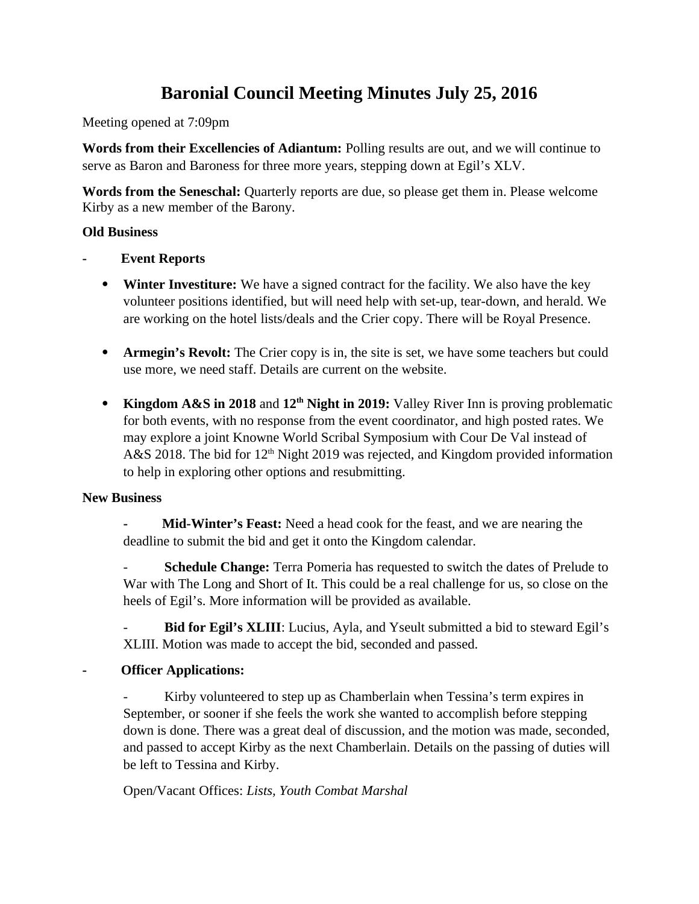# **Baronial Council Meeting Minutes July 25, 2016**

Meeting opened at 7:09pm

**Words from their Excellencies of Adiantum:** Polling results are out, and we will continue to serve as Baron and Baroness for three more years, stepping down at Egil's XLV.

**Words from the Seneschal:** Quarterly reports are due, so please get them in. Please welcome Kirby as a new member of the Barony.

## **Old Business**

- **Event Reports**
	- **Winter Investiture:** We have a signed contract for the facility. We also have the key volunteer positions identified, but will need help with set-up, tear-down, and herald. We are working on the hotel lists/deals and the Crier copy. There will be Royal Presence.
	- **Armegin's Revolt:** The Crier copy is in, the site is set, we have some teachers but could use more, we need staff. Details are current on the website.
	- Kingdom A&S in 2018 and 12<sup>th</sup> Night in 2019: Valley River Inn is proving problematic for both events, with no response from the event coordinator, and high posted rates. We may explore a joint Knowne World Scribal Symposium with Cour De Val instead of A&S 2018. The bid for  $12<sup>th</sup>$  Night 2019 was rejected, and Kingdom provided information to help in exploring other options and resubmitting.

# **New Business**

**- Mid-Winter's Feast:** Need a head cook for the feast, and we are nearing the deadline to submit the bid and get it onto the Kingdom calendar.

**Schedule Change:** Terra Pomeria has requested to switch the dates of Prelude to War with The Long and Short of It. This could be a real challenge for us, so close on the heels of Egil's. More information will be provided as available.

Bid for Egil's XLIII: Lucius, Ayla, and Yseult submitted a bid to steward Egil's XLIII. Motion was made to accept the bid, seconded and passed.

# **- Officer Applications:**

Kirby volunteered to step up as Chamberlain when Tessina's term expires in September, or sooner if she feels the work she wanted to accomplish before stepping down is done. There was a great deal of discussion, and the motion was made, seconded, and passed to accept Kirby as the next Chamberlain. Details on the passing of duties will be left to Tessina and Kirby.

Open/Vacant Offices: *Lists, Youth Combat Marshal*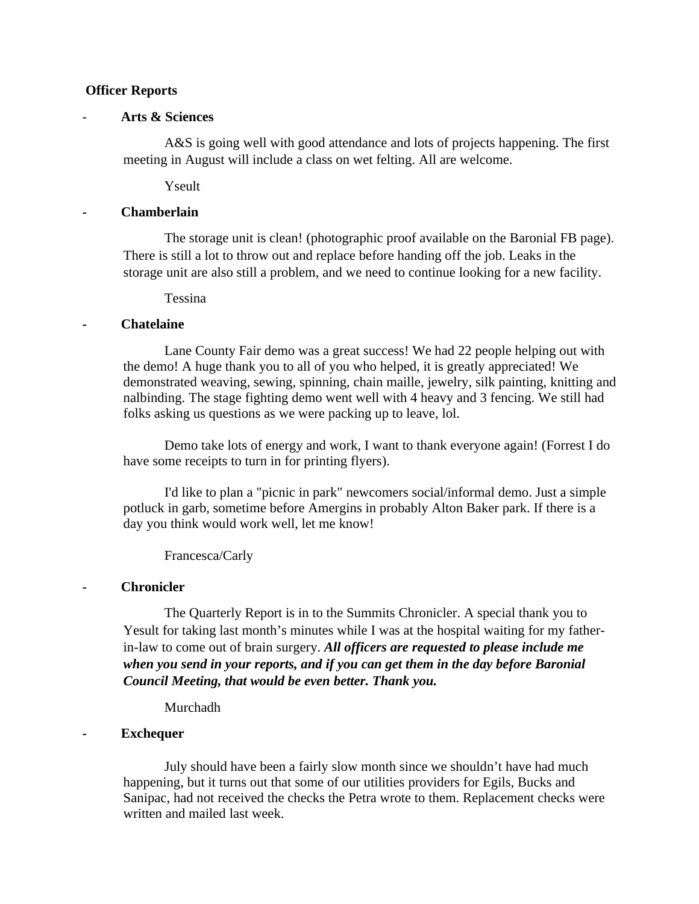## **Officer Reports**

## - **Arts & Sciences**

A&S is going well with good attendance and lots of projects happening. The first meeting in August will include a class on wet felting. All are welcome.

Yseult

## **- Chamberlain**

The storage unit is clean! (photographic proof available on the Baronial FB page). There is still a lot to throw out and replace before handing off the job. Leaks in the storage unit are also still a problem, and we need to continue looking for a new facility.

Tessina

## **- Chatelaine**

Lane County Fair demo was a great success! We had 22 people helping out with the demo! A huge thank you to all of you who helped, it is greatly appreciated! We demonstrated weaving, sewing, spinning, chain maille, jewelry, silk painting, knitting and nalbinding. The stage fighting demo went well with 4 heavy and 3 fencing. We still had folks asking us questions as we were packing up to leave, lol.

Demo take lots of energy and work, I want to thank everyone again! (Forrest I do have some receipts to turn in for printing flyers).

I'd like to plan a "picnic in park" newcomers social/informal demo. Just a simple potluck in garb, sometime before Amergins in probably Alton Baker park. If there is a day you think would work well, let me know!

Francesca/Carly

## **- Chronicler**

The Quarterly Report is in to the Summits Chronicler. A special thank you to Yesult for taking last month's minutes while I was at the hospital waiting for my fatherin-law to come out of brain surgery. *All officers are requested to please include me when you send in your reports, and if you can get them in the day before Baronial Council Meeting, that would be even better. Thank you.*

Murchadh

## **- Exchequer**

July should have been a fairly slow month since we shouldn't have had much happening, but it turns out that some of our utilities providers for Egils, Bucks and Sanipac, had not received the checks the Petra wrote to them. Replacement checks were written and mailed last week.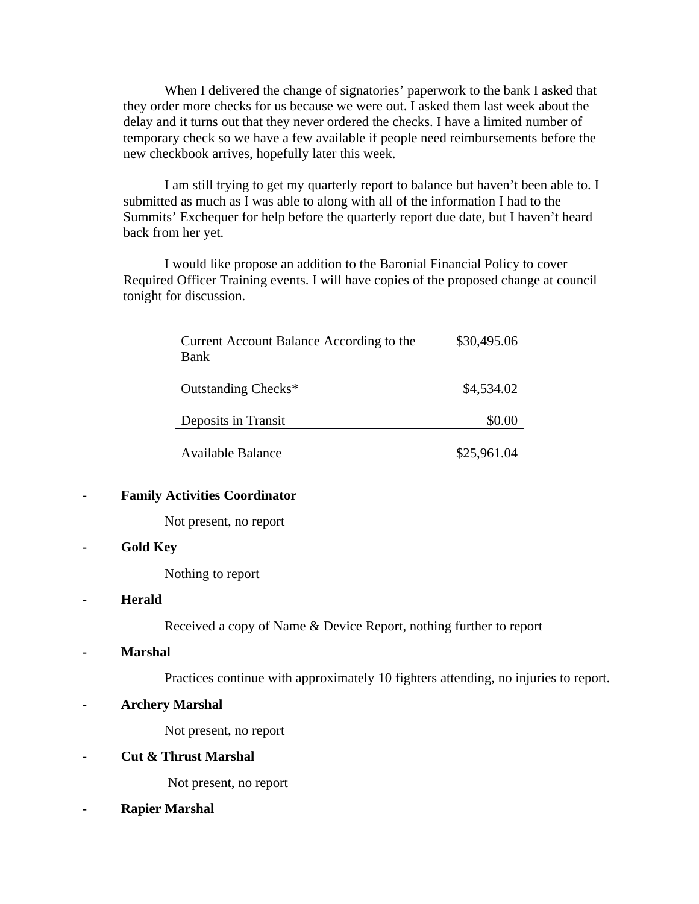When I delivered the change of signatories' paperwork to the bank I asked that they order more checks for us because we were out. I asked them last week about the delay and it turns out that they never ordered the checks. I have a limited number of temporary check so we have a few available if people need reimbursements before the new checkbook arrives, hopefully later this week.

I am still trying to get my quarterly report to balance but haven't been able to. I submitted as much as I was able to along with all of the information I had to the Summits' Exchequer for help before the quarterly report due date, but I haven't heard back from her yet.

I would like propose an addition to the Baronial Financial Policy to cover Required Officer Training events. I will have copies of the proposed change at council tonight for discussion.

| Current Account Balance According to the<br>Bank | \$30,495.06 |
|--------------------------------------------------|-------------|
| Outstanding Checks*                              | \$4,534.02  |
| Deposits in Transit                              | \$0.00      |
| Available Balance                                | \$25,961.04 |

## **- Family Activities Coordinator**

Not present, no report

## **- Gold Key**

Nothing to report

## **- Herald**

Received a copy of Name & Device Report, nothing further to report

**- Marshal**

Practices continue with approximately 10 fighters attending, no injuries to report.

**- Archery Marshal**

Not present, no report

## **- Cut & Thrust Marshal**

Not present, no report

**- Rapier Marshal**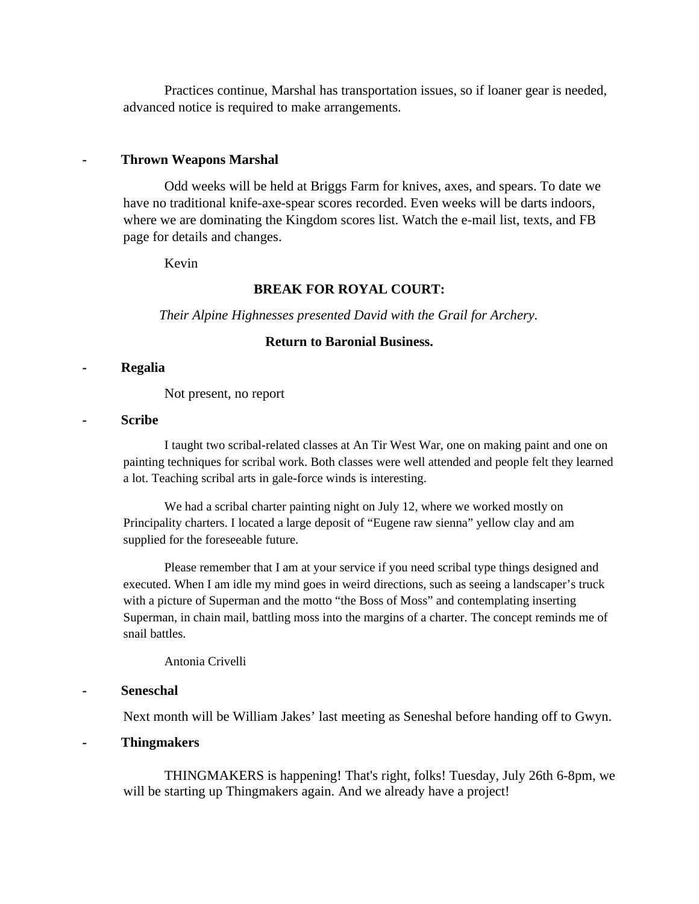Practices continue, Marshal has transportation issues, so if loaner gear is needed, advanced notice is required to make arrangements.

#### **- Thrown Weapons Marshal**

Odd weeks will be held at Briggs Farm for knives, axes, and spears. To date we have no traditional knife-axe-spear scores recorded. Even weeks will be darts indoors, where we are dominating the Kingdom scores list. Watch the e-mail list, texts, and FB page for details and changes.

Kevin

#### **BREAK FOR ROYAL COURT:**

*Their Alpine Highnesses presented David with the Grail for Archery.*

## **Return to Baronial Business.**

#### **- Regalia**

Not present, no report

#### **- Scribe**

I taught two scribal-related classes at An Tir West War, one on making paint and one on painting techniques for scribal work. Both classes were well attended and people felt they learned a lot. Teaching scribal arts in gale-force winds is interesting.

We had a scribal charter painting night on July 12, where we worked mostly on Principality charters. I located a large deposit of "Eugene raw sienna" yellow clay and am supplied for the foreseeable future.

Please remember that I am at your service if you need scribal type things designed and executed. When I am idle my mind goes in weird directions, such as seeing a landscaper's truck with a picture of Superman and the motto "the Boss of Moss" and contemplating inserting Superman, in chain mail, battling moss into the margins of a charter. The concept reminds me of snail battles.

#### Antonia Crivelli

### **- Seneschal**

Next month will be William Jakes' last meeting as Seneshal before handing off to Gwyn.

**- Thingmakers** 

THINGMAKERS is happening! That's right, folks! Tuesday, July 26th 6-8pm, we will be starting up Thingmakers again. And we already have a project!